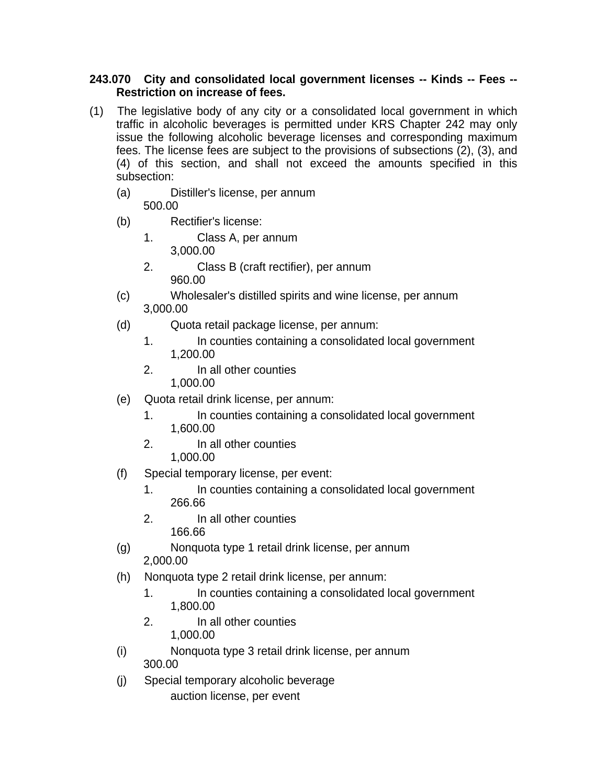## **243.070 City and consolidated local government licenses -- Kinds -- Fees -- Restriction on increase of fees.**

- (1) The legislative body of any city or a consolidated local government in which traffic in alcoholic beverages is permitted under KRS Chapter 242 may only issue the following alcoholic beverage licenses and corresponding maximum fees. The license fees are subject to the provisions of subsections (2), (3), and (4) of this section, and shall not exceed the amounts specified in this subsection:
	- (a) Distiller's license, per annum 500.00
	- (b) Rectifier's license:
		- 1. Class A, per annum 3,000.00
		- 2. Class B (craft rectifier), per annum 960.00
	- (c) Wholesaler's distilled spirits and wine license, per annum 3,000.00
	- (d) Quota retail package license, per annum:
		- 1. In counties containing a consolidated local government 1,200.00
		- 2. In all other counties 1,000.00
	- (e) Quota retail drink license, per annum:
		- 1. In counties containing a consolidated local government 1,600.00
		- 2. In all other counties 1,000.00
	- (f) Special temporary license, per event:
		- 1. In counties containing a consolidated local government 266.66
		- 2. In all other counties 166.66
	- (g) Nonquota type 1 retail drink license, per annum 2,000.00
	- (h) Nonquota type 2 retail drink license, per annum:
		- 1. In counties containing a consolidated local government 1,800.00
		- 2. In all other counties 1,000.00
	- (i) Nonquota type 3 retail drink license, per annum 300.00
	- (j) Special temporary alcoholic beverage auction license, per event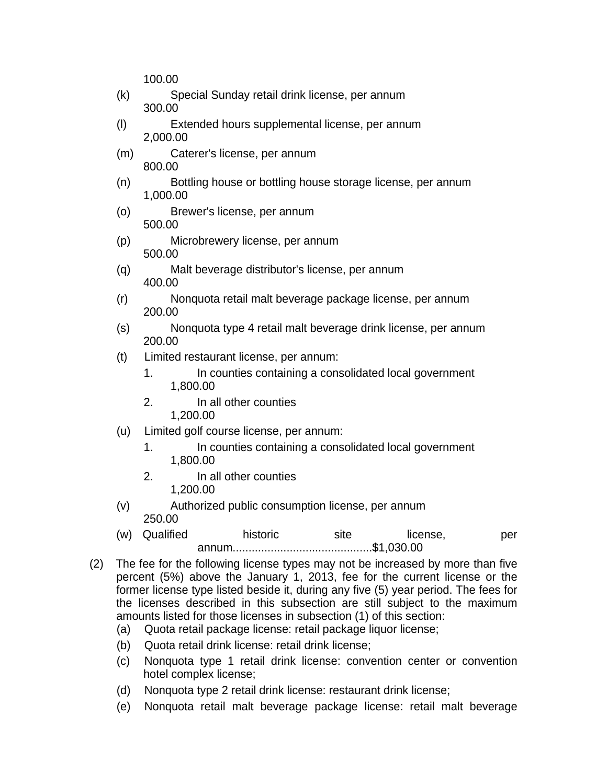100.00

- (k) Special Sunday retail drink license, per annum 300.00
- (l) Extended hours supplemental license, per annum 2,000.00
- (m) Caterer's license, per annum 800.00
- (n) Bottling house or bottling house storage license, per annum 1,000.00
- (o) Brewer's license, per annum 500.00
- (p) Microbrewery license, per annum 500.00
- (q) Malt beverage distributor's license, per annum 400.00
- (r) Nonquota retail malt beverage package license, per annum 200.00
- (s) Nonquota type 4 retail malt beverage drink license, per annum 200.00
- (t) Limited restaurant license, per annum:
	- 1. In counties containing a consolidated local government 1,800.00
	- 2. In all other counties 1,200.00
- (u) Limited golf course license, per annum:
	- 1. In counties containing a consolidated local government 1,800.00
	- 2. In all other counties 1,200.00
- (v) Authorized public consumption license, per annum 250.00
- (w) Qualified historic site license, per annum............................................\$1,030.00
- (2) The fee for the following license types may not be increased by more than five percent (5%) above the January 1, 2013, fee for the current license or the former license type listed beside it, during any five (5) year period. The fees for the licenses described in this subsection are still subject to the maximum amounts listed for those licenses in subsection (1) of this section:
	- (a) Quota retail package license: retail package liquor license;
	- (b) Quota retail drink license: retail drink license;
	- (c) Nonquota type 1 retail drink license: convention center or convention hotel complex license;
	- (d) Nonquota type 2 retail drink license: restaurant drink license;
	- (e) Nonquota retail malt beverage package license: retail malt beverage